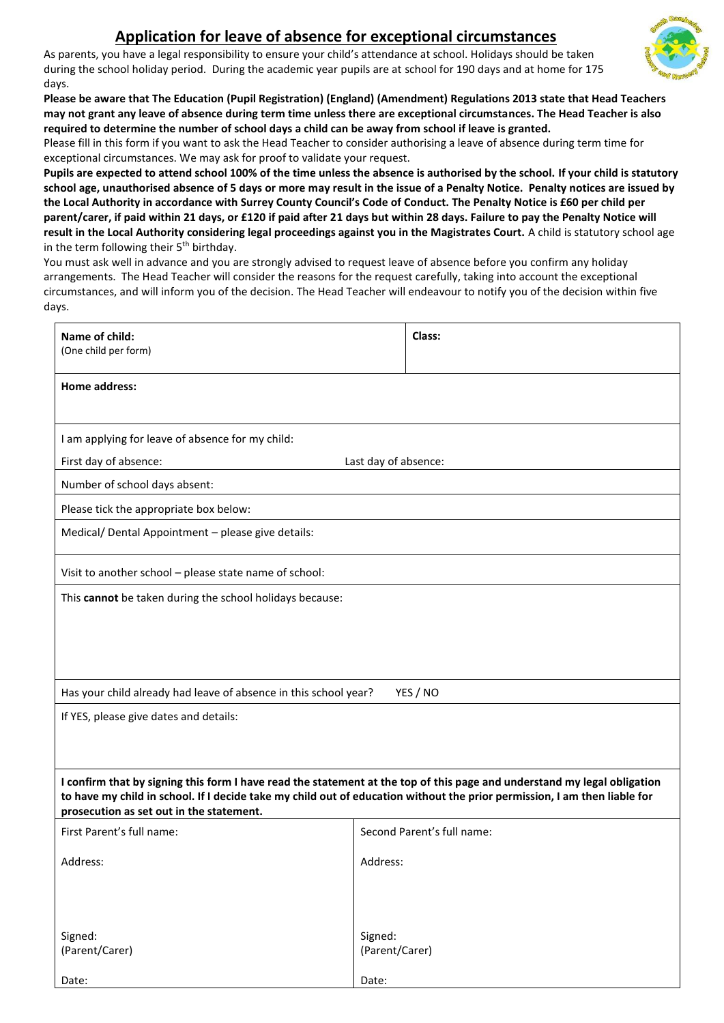## **Application for leave of absence for exceptional circumstances**

As parents, you have a legal responsibility to ensure your child's attendance at school. Holidays should be taken during the school holiday period. During the academic year pupils are at school for 190 days and at home for 175 days.



Please fill in this form if you want to ask the Head Teacher to consider authorising a leave of absence during term time for exceptional circumstances. We may ask for proof to validate your request.

**Pupils are expected to attend school 100% of the time unless the absence is authorised by the school. If your child is statutory school age, unauthorised absence of 5 days or more may result in the issue of a Penalty Notice. Penalty notices are issued by the Local Authority in accordance with Surrey County Council's Code of Conduct. The Penalty Notice is £60 per child per parent/carer, if paid within 21 days, or £120 if paid after 21 days but within 28 days. Failure to pay the Penalty Notice will result in the Local Authority considering legal proceedings against you in the Magistrates Court.** A child is statutory school age in the term following their  $5<sup>th</sup>$  birthday.

You must ask well in advance and you are strongly advised to request leave of absence before you confirm any holiday arrangements. The Head Teacher will consider the reasons for the request carefully, taking into account the exceptional circumstances, and will inform you of the decision. The Head Teacher will endeavour to notify you of the decision within five days.

| Name of child:<br>(One child per form)                                                                                                                                                                                                                                                            | Class:                     |  |  |  |  |  |
|---------------------------------------------------------------------------------------------------------------------------------------------------------------------------------------------------------------------------------------------------------------------------------------------------|----------------------------|--|--|--|--|--|
| Home address:                                                                                                                                                                                                                                                                                     |                            |  |  |  |  |  |
| I am applying for leave of absence for my child:<br>First day of absence:<br>Last day of absence:                                                                                                                                                                                                 |                            |  |  |  |  |  |
| Number of school days absent:                                                                                                                                                                                                                                                                     |                            |  |  |  |  |  |
| Please tick the appropriate box below:                                                                                                                                                                                                                                                            |                            |  |  |  |  |  |
| Medical/ Dental Appointment - please give details:                                                                                                                                                                                                                                                |                            |  |  |  |  |  |
| Visit to another school - please state name of school:                                                                                                                                                                                                                                            |                            |  |  |  |  |  |
| This cannot be taken during the school holidays because:                                                                                                                                                                                                                                          |                            |  |  |  |  |  |
| Has your child already had leave of absence in this school year?                                                                                                                                                                                                                                  | YES / NO                   |  |  |  |  |  |
| If YES, please give dates and details:                                                                                                                                                                                                                                                            |                            |  |  |  |  |  |
| I confirm that by signing this form I have read the statement at the top of this page and understand my legal obligation<br>to have my child in school. If I decide take my child out of education without the prior permission, I am then liable for<br>prosecution as set out in the statement. |                            |  |  |  |  |  |
| First Parent's full name:                                                                                                                                                                                                                                                                         | Second Parent's full name: |  |  |  |  |  |
| Address:                                                                                                                                                                                                                                                                                          | Address:                   |  |  |  |  |  |
|                                                                                                                                                                                                                                                                                                   |                            |  |  |  |  |  |
| Signed:                                                                                                                                                                                                                                                                                           | Signed:                    |  |  |  |  |  |
| (Parent/Carer)                                                                                                                                                                                                                                                                                    | (Parent/Carer)             |  |  |  |  |  |
| Date:                                                                                                                                                                                                                                                                                             | Date:                      |  |  |  |  |  |